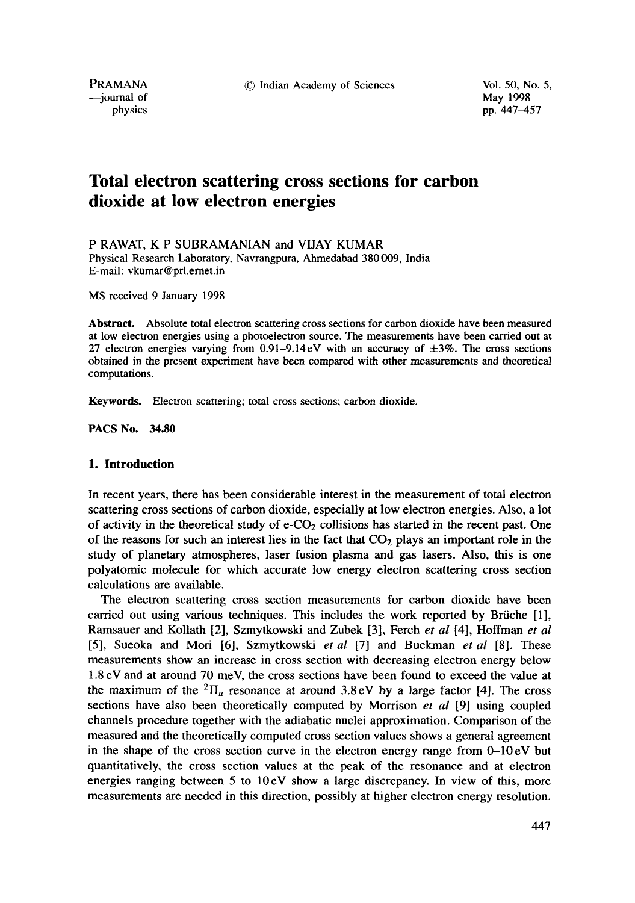-journal of

physics pp. 447-457

# **Total electron scattering cross sections for carbon dioxide at low electron energies**

P RAWAT, K P SUBRAMANIAN and VIJAY KUMAR

Physical Research Laboratory, Navrangpura, Ahmedabad 380009, India E-mail: vkumar@prl.ernet.in

MS received 9 January 1998

**Abstract.** Absolute total electron scattering cross sections for carbon dioxide have been measured at low electron energies using a photoelectron source. The measurements have been carried out at 27 electron energies varying from  $0.91-9.14$  eV with an accuracy of  $\pm 3\%$ . The cross sections obtained in the present experiment have been compared with other measurements and theoretical computations.

**Keywords.** Electron scattering; total cross sections; carbon dioxide.

**PACS No. 34.80** 

## **1. Introduction**

In recent years, there has been considerable interest in the measurement of total electron scattering cross sections of carbon dioxide, especially at low electron energies. Also, a lot of activity in the theoretical study of  $e$ -CO<sub>2</sub> collisions has started in the recent past. One of the reasons for such an interest lies in the fact that  $CO<sub>2</sub>$  plays an important role in the study of planetary atmospheres, laser fusion plasma and gas lasers. Also, this is one polyatomic molecule for which accurate low energy electron scattering cross section calculations are available.

The electron scattering cross section measurements for carbon dioxide have been carried out using various techniques. This includes the work reported by Briiche [1], Ramsauer and Kollath [2], Szmytkowski and Zubek [3], Ferch *et al* [4], Hoffman *et al*  [5], Sueoka and Mori [6], Szmytkowski *et al* [7] and Buckman *et al* [8]. These measurements show an increase in cross section with decreasing electron energy below 1.8 eV and at around 70 meV, the cross sections have been found to exceed the value at the maximum of the <sup>2</sup> $\Pi_u$  resonance at around 3.8 eV by a large factor [4]. The cross sections have also been theoretically computed by Morrison *et al* [9] using coupled channels procedure together with the adiabatic nuclei approximation. Comparison of the measured and the theoretically computed cross section values shows a general agreement in the shape of the cross section curve in the electron energy range from  $0-10 \text{ eV}$  but quantitatively, the cross section values at the peak of the resonance and at electron energies ranging between 5 to 10eV show a large discrepancy. In view of this, more measurements are needed in this direction, possibly at higher electron energy resolution.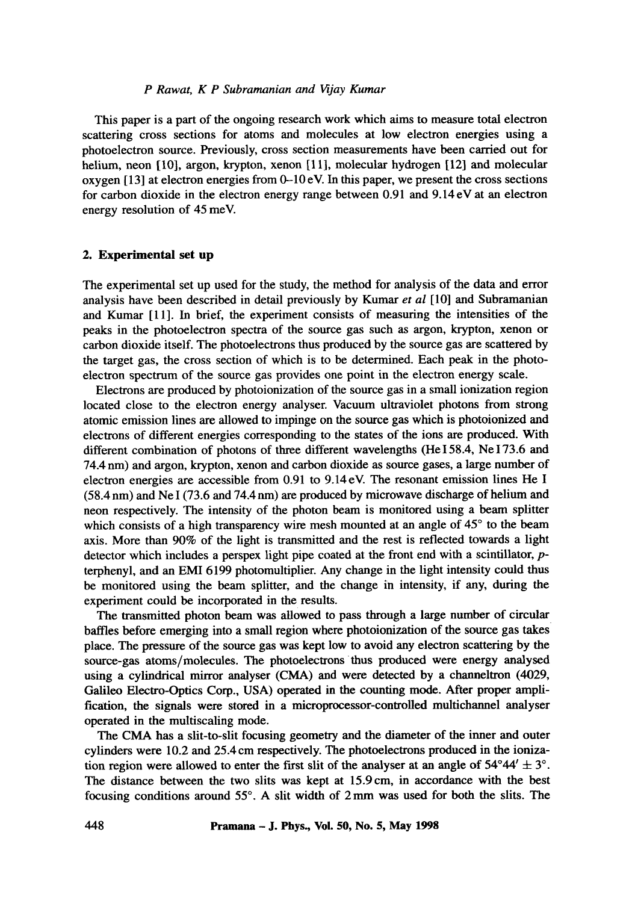This paper is a part of the ongoing research work which aims to measure total electron scattering cross sections for atoms and molecules at low electron energies using a photoelectron source. Previously, cross section measurements have been carried out for helium, neon [10], argon, krypton, xenon [11], molecular hydrogen [12] and molecular oxygen  $[13]$  at electron energies from  $0-10$  eV. In this paper, we present the cross sections for carbon dioxide in the electron energy range between 0.91 and 9.14eV at an electron energy resolution of 45 meV.

#### **2. Experimental set up**

The experimental set up used for the study, the method for analysis of the data and error analysis have been described in detail previously by Kumar *et al* [10] and Subramanian and Kumar [ll]. In brief, the experiment consists of measuring the intensities of the peaks in the photoelectron spectra of the source gas such as argon, krypton, xenon or carbon dioxide itself. The photoelectrons thus produced by the source gas are scattered by the target gas, the cross section of which is to be determined. Each peak in the photoelectron spectrum of the source gas provides one point in the electron energy scale.

Electrons are produced by photoionizafion of the source gas in a small ionization region located close to the electron energy analyser. Vacuum ultraviolet photons from strong atomic emission lines are allowed to impinge on the source gas which is photoionized and electrons of different energies corresponding to the states of the ions are produced. With different combination of photons of three different wavelengths (He I 58.4, Ne I 73.6 and 74.4 nm) and argon, krypton, xenon and carbon dioxide as source gases, a large number of electron energies are accessible from 0.91 to 9.14eV. The resonant emission lines He I (58.4 nm) and Ne I (73.6 and 74.4 nm) are produced by microwave discharge of helium and neon respectively. The intensity of the photon beam is monitored using a beam splitter which consists of a high transparency wire mesh mounted at an angle of 45° to the beam axis. More than 90% of the light is transmitted and the rest is reflected towards a light detector which includes a perspex light pipe coated at the front end with a scintillator, pterphenyl, and an EMI 6199 photomultiplier. Any change in the light intensity could thus be monitored using the beam splitter, and the change in intensity, if any, during the experiment could be incorporated in the results.

The transmitted photon beam was allowed to pass through a large number of circular baffles before emerging into a small region where photoionization of the source gas takes place. The pressure of the source gas was kept low to avoid any electron scattering by the source-gas atoms/molecules. The photoelectrons thus produced were energy analysed using a cylindrical mirror analyser (CMA) and were detected by a channeltron (4029, Galileo Electro-Optics Corp., USA) operated in the counting mode. After proper amplification, the signals were stored in a microprocessor-controlled multichannel analyser operated in the multiscaling mode.

The CMA has a slit-to-slit focusing geometry and the diameter of the inner and outer cylinders were 10.2 and 25.4 cm respectively. The photoelectrons produced in the ionization region were allowed to enter the first slit of the analyser at an angle of  $54^{\circ}44' \pm 3^{\circ}$ . The distance between the two slits was kept at 15.9cm, in accordance with the best focusing conditions around  $55^\circ$ . A slit width of  $2 \text{ mm}$  was used for both the slits. The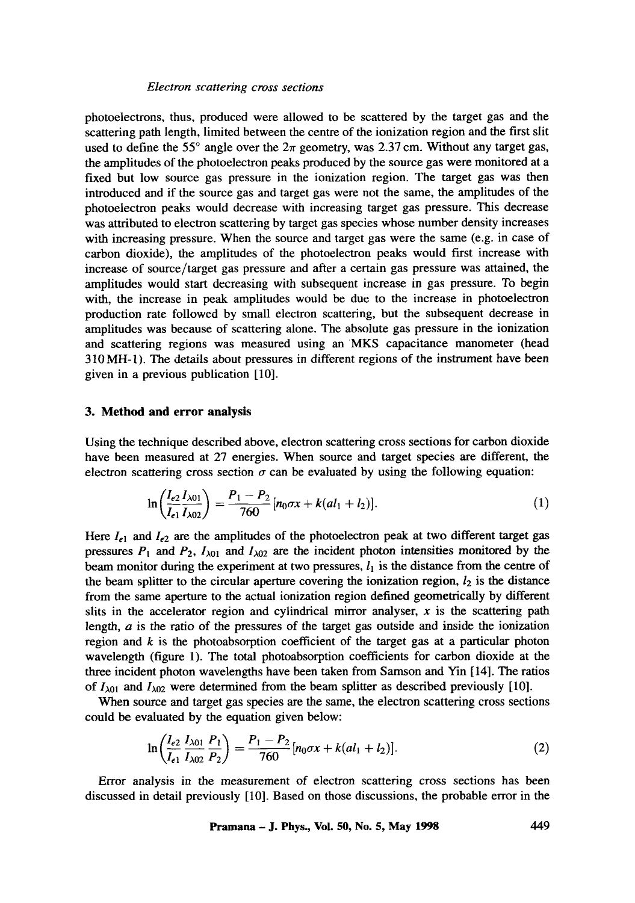photoelectrons, thus, produced were allowed to be scattered by the target gas and the scattering path length, limited between the centre of the ionization region and the first slit used to define the 55 $^{\circ}$  angle over the  $2\pi$  geometry, was 2.37 cm. Without any target gas, the amplitudes of the photoelectron peaks produced by the source gas were monitored at a fixed but low source gas pressure in the ionization region. The target gas was then introduced and if the source gas and target gas were not the same, the amplitudes of the photoelectron peaks would decrease with increasing target gas pressure. This decrease was attributed to electron scattering by target gas species whose number density increases with increasing pressure. When the source and target gas were the same (e.g. in case of carbon dioxide), the amplitudes of the photoelectron peaks would first increase with increase of source/target gas pressure and after a certain gas pressure was attained, the amplitudes would start decreasing with subsequent increase in gas pressure. To begin with, the increase in peak amplitudes would be due to the increase in photoelectron production rate followed by small electron scattering, but the subsequent decrease in amplitudes was because of scattering alone. The absolute gas pressure in the ionization and scattering regions was measured using an MKS capacitance manometer (head 310MH-1). The details about pressures in different regions of the instrument have been given in a previous publication [10].

### **3. Method and error analysis**

Using the technique described above, electron scattering cross sections for carbon dioxide have been measured at 27 energies. When source and target species are different, the electron scattering cross section  $\sigma$  can be evaluated by using the following equation:

$$
\ln\left(\frac{I_{e2}}{I_{e1}}\frac{I_{\lambda 01}}{I_{\lambda 02}}\right)=\frac{P_1-P_2}{760}\left[n_0\sigma x+k(al_1+l_2\right].\tag{1}
$$

Here  $I_{e1}$  and  $I_{e2}$  are the amplitudes of the photoelectron peak at two different target gas pressures  $P_1$  and  $P_2$ ,  $I_{\lambda 01}$  and  $I_{\lambda 02}$  are the incident photon intensities monitored by the beam monitor during the experiment at two pressures,  $l_1$  is the distance from the centre of the beam splitter to the circular aperture covering the ionization region,  $l_2$  is the distance from the same aperture to the actual ionization region defined geometrically by different slits in the accelerator region and cylindrical mirror analyser,  $x$  is the scattering path length, a is the ratio of the pressures of the target gas outside and inside the ionization region and  $k$  is the photoabsorption coefficient of the target gas at a particular photon wavelength (figure 1). The total photoabsorption coefficients for carbon dioxide at the three incident photon wavelengths have been taken from Samson and Yin [14]. The ratios of  $I_{\lambda01}$  and  $I_{\lambda02}$  were determined from the beam splitter as described previously [10].

When source and target gas species are the same, the electron scattering cross sections could be evaluated by the equation given below:

$$
\ln\left(\frac{I_{e2}}{I_{e1}}\frac{I_{\lambda 01}}{I_{\lambda 02}}\frac{P_1}{P_2}\right)=\frac{P_1-P_2}{760}[n_0\sigma x+k(al_1+l_2)].
$$
\n(2)

Error analysis in the measurement of electron scattering cross sections has been discussed in detail previously [10]. Based on those discussions, the probable error in the

**Pramana - J. Phys., Vol. 50, No. 5, May 1998 449**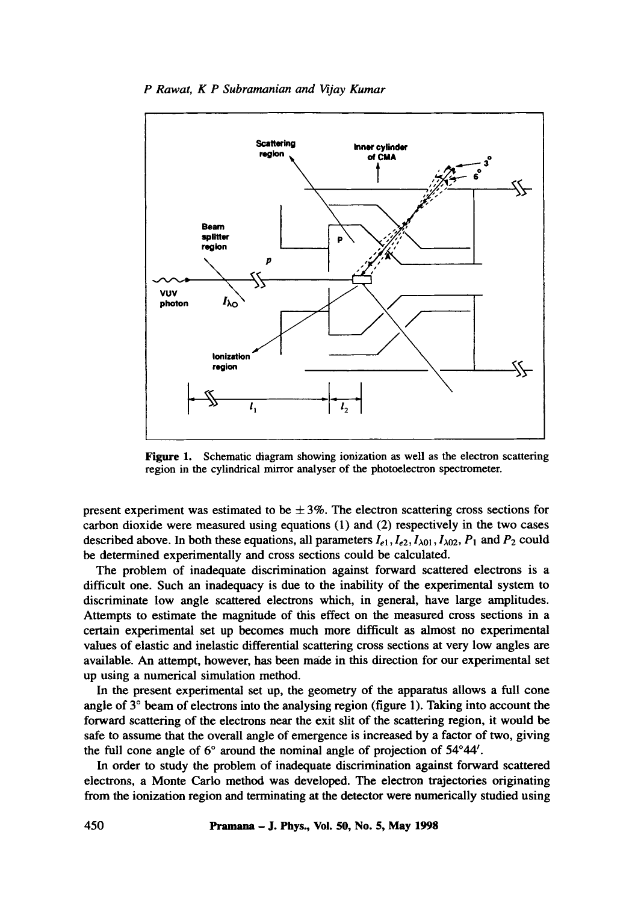

Figure 1. Schematic diagram showing ionization as well as the electron scattering region in the cylindrical mirror analyser of the photoelectron spectrometer.

present experiment was estimated to be  $\pm 3\%$ . The electron scattering cross sections for carbon dioxide were measured using equations (1) and (2) respectively in the two cases described above. In both these equations, all parameters  $I_{e1}$ ,  $I_{e2}$ ,  $I_{\lambda 01}$ ,  $I_{\lambda 02}$ ,  $P_1$  and  $P_2$  could be determined experimentally and cross sections could be calculated.

The problem of inadequate discrimination against forward scattered electrons is a difficult one. Such an inadequacy is due to the inability of the experimental system to discriminate low angle scattered electrons which, in general, have large amplitudes. Attempts to estimate the magnitude of this effect on the measured cross sections in a certain experimental set up becomes much more difficult as almost no experimental values of elastic and inelastic differential scattering cross sections at very low angles are available. An attempt, however, has been made in this direction for our experimental set up using a numerical simulation method.

In the present experimental set up, the geometry of the apparatus allows a full cone angle of  $3^\circ$  beam of electrons into the analysing region (figure 1). Taking into account the forward scattering of the electrons near the exit slit of the scattering region, it would be safe to assume that the overall angle of emergence is increased by a factor of two, giving the full cone angle of  $6^\circ$  around the nominal angle of projection of  $54^\circ 44'$ .

In order to study the problem of inadequate discrimination against forward scattered electrons, a Monte Carlo method was developed. The electron trajectories originating from the ionization region and terminating at the detector were numerically studied using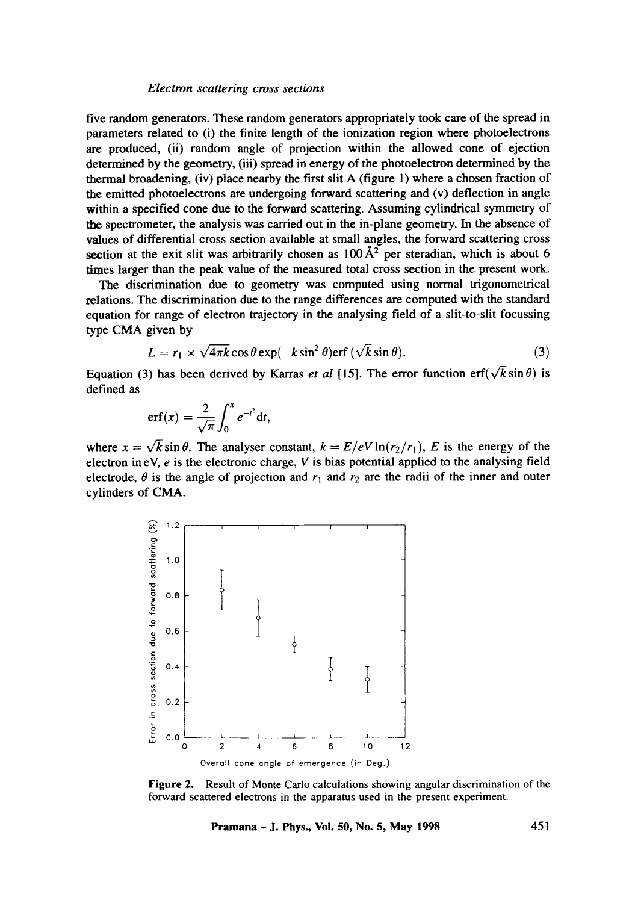five random generators. These random generators appropriately took care of the spread in parameters related to (i) the finite length of the ionization region where photoelectrons are produced, (ii) random angle of projection within the allowed cone of ejection determined by the geometry, (iii) spread in energy of the photoelectron determined by the thermal broadening, (iv) place nearby the first slit A (figure 1) where a chosen fraction of the emitted photoelectrons are undergoing forward scattering and (v) deflection in angle within a specified cone due to the forward scattering. Assuming cylindrical symmetry of the spectrometer, the analysis was carried out in the in-plane geometry. In the absence of values of differential cross section available at small angles, the forward scattering cross section at the exit slit was arbitrarily chosen as  $100\,\text{\AA}^2$  per steradian, which is about 6 times larger than the peak value of the measured total cross section in the present work.

The discrimination due to geometry was computed using normal trigonometrical relations. The discrimination due to the range differences are computed with the standard equation for range of electron trajectory in the analysing field of a slit-to-slit focussing type CMA given by

$$
L = r_1 \times \sqrt{4\pi k} \cos \theta \exp(-k \sin^2 \theta) \text{erf } (\sqrt{k} \sin \theta).
$$
 (3)

Equation (3) has been derived by Karras *et al* [15]. The error function erf( $\sqrt{k} \sin \theta$ ) is defined as

$$
\mathrm{erf}(x)=\frac{2}{\sqrt{\pi}}\int_0^x e^{-t^2}\mathrm{d}t,
$$

where  $x = \sqrt{k} \sin \theta$ . The analyser constant,  $k = E/eV \ln(r_2/r_1)$ , E is the energy of the electron in eV,  $e$  is the electronic charge,  $V$  is bias potential applied to the analysing field electrode,  $\theta$  is the angle of projection and  $r_1$  and  $r_2$  are the radii of the inner and outer cylinders of CMA.



**Figure 2.**  Result of Monte Carlo calculations showing angular discrimination of the forward scattered electrons in the apparatus used in the present experiment.

**Pramana - J. Phys., Vol. 50, No. 5, May 1998 451**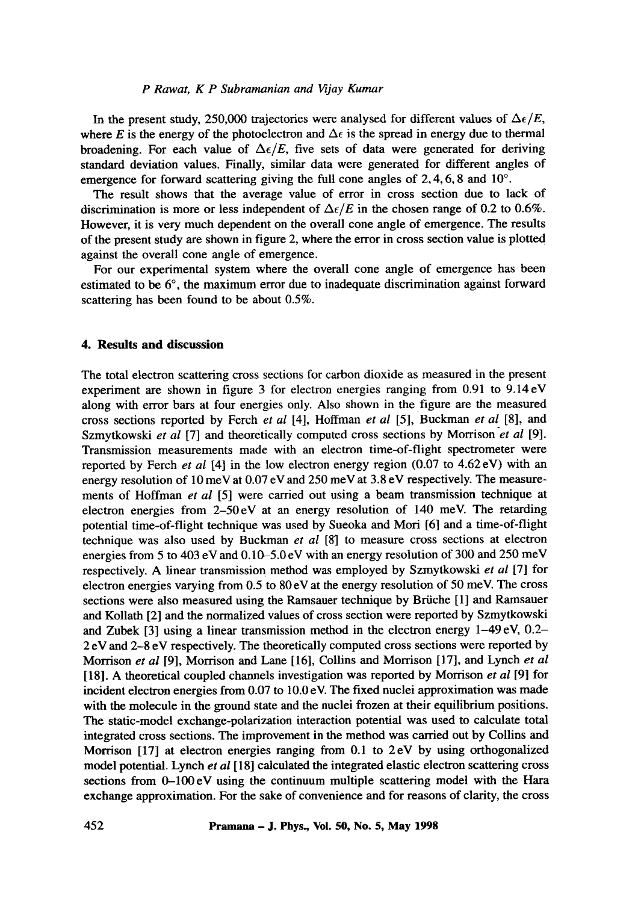In the present study, 250,000 trajectories were analysed for different values of  $\Delta \epsilon / E$ , where E is the energy of the photoelectron and  $\Delta \epsilon$  is the spread in energy due to thermal broadening. For each value of  $\Delta \epsilon / E$ , five sets of data were generated for deriving standard deviation values. Finally, similar data were generated for different angles of emergence for forward scattering giving the full cone angles of  $2, 4, 6, 8$  and  $10^{\circ}$ .

The result shows that the average value of error in cross section due to lack of discrimination is more or less independent of  $\Delta \epsilon / E$  in the chosen range of 0.2 to 0.6%. However, it is very much dependent on the overall cone angle of emergence. The results of the present study are shown in figure 2, where the error in cross section value is plotted against the overall cone angle of emergence.

For our experimental system where the overall cone angle of emergence has been estimated to be  $6^{\circ}$ , the maximum error due to inadequate discrimination against forward scattering has been found to be about 0.5%.

## **4. Results and discussion**

The total electron scattering cross sections for carbon dioxide as measured in the present experiment are shown in figure 3 for electron energies ranging from 0.91 to 9.14eV along with error bars at four energies only. Also shown in the figure are the measured cross sections reported by Ferch *et al* [4], Hoffman *et al* [5], Buckman *et al* [8], and Szmytkowski *et al* [7] and theoretically computed cross sections by Morrison *et al* [9]. Transmission measurements made with an electron time-of-flight spectrometer were reported by Ferch *et al* [4] in the low electron energy region (0.07 to 4.62 eV) with an energy resolution of 10 meV at 0.07 eV and 250 meV at 3.8 eV respectively. The measurements of Hoffman *et al* [5] were carried out using a beam transmission technique at electron energies from 2-50eV at an energy resolution of 140 meV. The retarding potential time-of-flight technique was used by Sueoka and Mori [6] and a time-of-flight technique was also used by Buckman *et al* [8] to measure cross sections at electron energies from 5 to 403 eV and 0.10-5.0 eV with an energy resolution of 300 and 250 meV respectively. A linear transmission method was employed by Szmytkowski *et al* [7] for electron energies varying from 0.5 to 80 eV at the energy resolution of 50 meV. The cross sections were also measured using the Ramsauer technique by Briiche [1] and Ramsauer and Kollath [2] and the normalized values of cross section were reported by Szmytkowski and Zubek [3] using a linear transmission method in the electron energy 1-49 eV, 0.2- 2 eV and 2-8 eV respectively. The theoretically computed cross sections were reported by Morrison *et al* [9], Morrison and Lane [16], Collins and Morrison [17], and Lynch *et al*  [18]. A theoretical coupled channels investigation was reported by Morrison *et al* [9] for incident electron energies from 0.07 to 10.0 eV. The fixed nuclei approximation was made with the molecule in the ground state and the nuclei frozen at their equilibrium positions. The static-model exchange-polarization interaction potential was used to calculate total integrated cross sections. The improvement in the method was carried out by Collins and Morrison [17] at electron energies ranging from 0.1 to 2eV by using orthogonalized model potential. Lynch *et al* [18] calculated the integrated elastic electron scattering cross sections from 0-100 eV using the continuum multiple scattering model with the Hara exchange approximation. For the sake of convenience and for reasons of clarity, the cross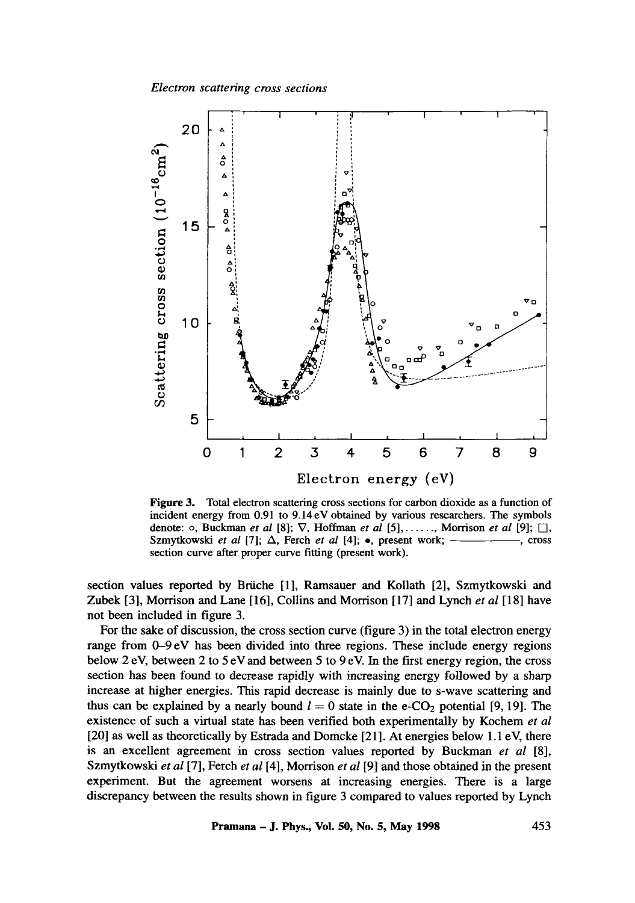

Figure 3. Total electron scattering cross sections for carbon dioxide as a function of incident energy from 0.91 to 9.14eV obtained by various researchers. The symbols denote: ○, Buckman *et al* [8];  $\nabla$ , Hoffman *et al* [5],....., Morrison *et al* [9]; □, Szmytkowski *et al* [7];  $\Delta$ , Ferch *et al* [4];  $\bullet$ , present work;  $\rightarrow$  , cross section curve after proper curve fitting (present work).

section values reported by Briiche [1], Ramsauer and Kollath [2], Szmytkowski and Zubek [3], Morrison and Lane [16], Collins and Morrison [17] and Lynch *et al* [18] have not been included in figure 3.

For the sake of discussion, the cross section curve (figure 3) in the total electron energy range from 0-9 eV has been divided into three regions. These include energy regions below 2 eV, between 2 to 5 eV and between 5 to 9 eV. In the first energy region, the cross section has been found to decrease rapidly with increasing energy followed by a sharp increase at higher energies. This rapid decrease is mainly due to s-wave scattering and thus can be explained by a nearly bound  $l = 0$  state in the e-CO<sub>2</sub> potential [9, 19]. The existence of such a virtual state has been verified both experimentally by Kochem *et al*  [20] as well as theoretically by Estrada and Domcke [21]. At energies below 1.1 eV, there is an excellent agreement in cross section values reported by Buckman *et al* [8], Szmytkowski *et al* [7], Fetch *et al* [4], Morrison *et al* [9] and those obtained in the present experiment. But the agreement worsens at increasing energies. There is a large discrepancy between the results shown in figure 3 compared to values reported by Lynch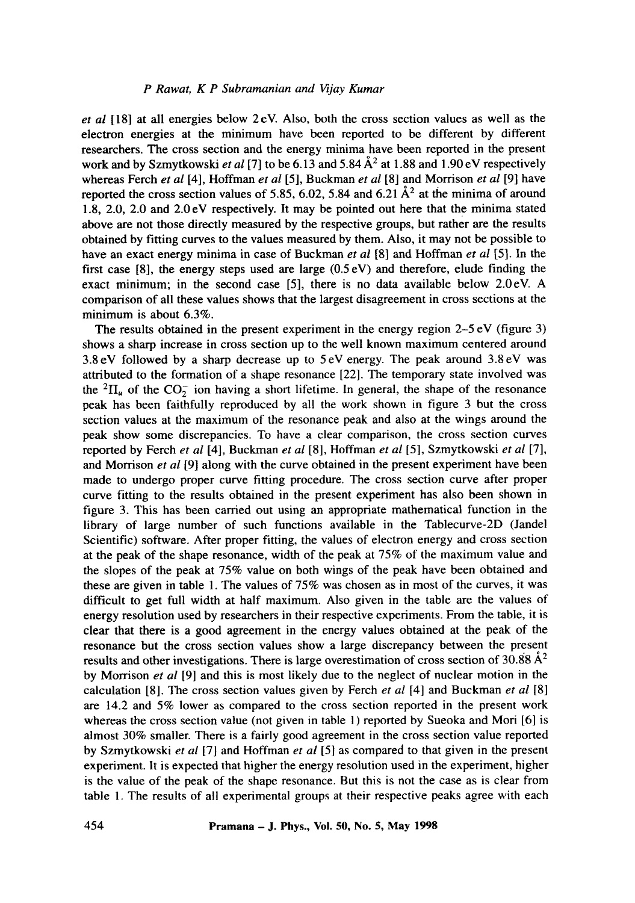*et al* [ 18] at all energies below 2 eV. Also, both the cross section values as well as the electron energies at the minimum have been reported to be different by different researchers. The cross section and the energy minima have been reported in the present work and by Szmytkowski *et al* [7] to be 6.13 and 5.84  $A^2$  at 1.88 and 1.90 eV respectively whereas Ferch *et al* [4], Hoffman *et al* [5], Buckman *et al* [8] and Morrison *et al* [9] have reported the cross section values of 5.85, 6.02, 5.84 and 6.21  $\AA^2$  at the minima of around 1.8, 2.0, 2.0 and 2.0 eV respectively. It may be pointed out here that the minima stated above are not those directly measured by the respective groups, but rather are the results obtained by fitting curves to the values measured by them. Also, it may not be possible to have an exact energy minima in case of Buckman *et al* [8] and Hoffman *et al* [5]. In the first case [8], the energy steps used are large  $(0.5 \text{ eV})$  and therefore, elude finding the exact minimum; in the second case [5], there is no data available below 2.0eV. A comparison of all these values shows that the largest disagreement in cross sections at the minimum is about 6.3%.

The results obtained in the present experiment in the energy region  $2-5$  eV (figure 3) shows a sharp increase in cross section up to the well known maximum centered around 3.8 eV followed by a sharp decrease up to 5 eV energy. The peak around 3.8 eV was attributed to the formation of a shape resonance [22]. The temporary state involved was the  ${}^{2}$ II<sub>u</sub> of the CO<sub>2</sub> ion having a short lifetime. In general, the shape of the resonance peak has been faithfully reproduced by all the work shown in figure 3 but the cross section values at the maximum of the resonance peak and also at the wings around the peak show some discrepancies. To have a clear comparison, the cross section curves reported by Ferch *et al* [4], Buckman *et al* [81, Hoffman *et al* [5], Szmytkowski *et al* [7], and Morrison *et al* [9] along with the curve obtained in the present experiment have been made to undergo proper curve fitting procedure. The cross section curve after proper curve fitting to the results obtained in the present experiment has also been shown in figure 3. This has been carried out using an appropriate mathematical function in the library of large number of such functions available in the Tablecurve-2D (Jandel Scientific) software. After proper fitting, the values of electron energy and cross section at the peak of the shape resonance, width of the peak at 75% of the maximum value and the slopes of the peak at 75% value on both wings of the peak have been obtained and these are given in table 1. The values of 75% was chosen as in most of the curves, it was difficult to get full width at half maximum. Also given in the table are the values of energy resolution used by researchers in their respective experiments. From the table, it is clear that there is a good agreement in the energy values obtained at the peak of the resonance but the cross section values show a large discrepancy between the present results and other investigations. There is large overestimation of cross section of 30.88  $\mathbf{A}^2$ by Morrison *et al* [9] and this is most likely due to the neglect of nuclear motion in the calculation [8]. The cross section values given by Ferch *et al* [4] and Buckman *et al* [8] are 14.2 and 5% lower as compared to the cross section reported in the present work whereas the cross section value (not given in table 1) reported by Sueoka and Mori [6] is almost 30% smaller. There is a fairly good agreement in the cross section value reported by Szmytkowski *et al* [7] and Hoffman *et al* [5] as compared to that given in the present experiment. It is expected that higher the energy resolution used in the experiment, higher is the value of the peak of the shape resonance. But this is not the case as is clear from table 1. The results of all experimental groups at their respective peaks agree with each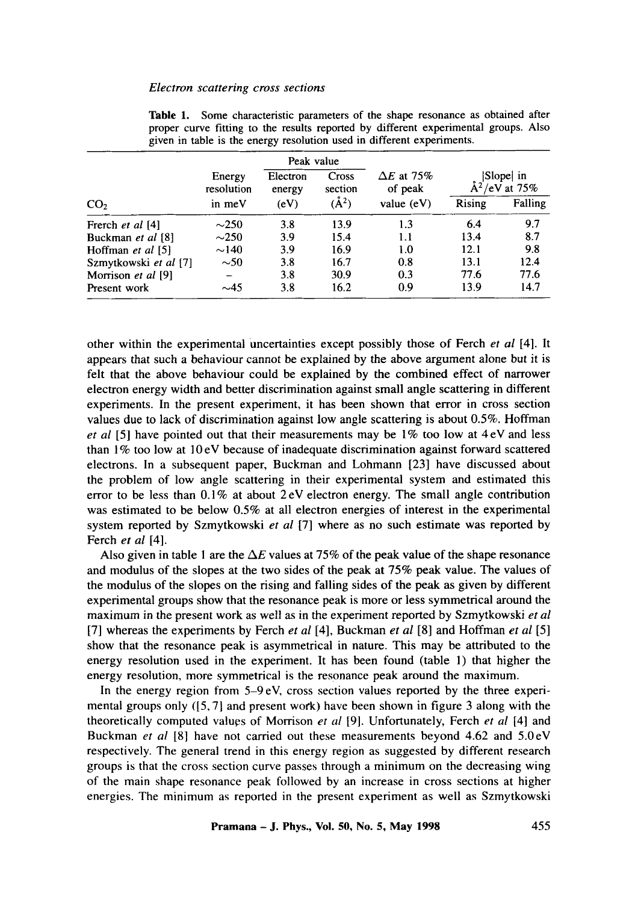|                       | Peak value           |                    |                  |                              |                           |         |
|-----------------------|----------------------|--------------------|------------------|------------------------------|---------------------------|---------|
|                       | Energy<br>resolution | Electron<br>energy | Cross<br>section | $\Delta E$ at 75%<br>of peak | Slope in<br>/eV at $75\%$ |         |
| CO <sub>2</sub>       | in meV               | (eV)               | $(\AA^2)$        | value $(eV)$                 | Rising                    | Falling |
| Frerch et al [4]      | $\sim$ 250           | 3.8                | 13.9             | 1.3                          | 6.4                       | 9.7     |
| Buckman et al [8]     | $\sim$ 250           | 3.9                | 15.4             | 1.1                          | 13.4                      | 8.7     |
| Hoffman et al [5]     | $\sim$ 140           | 3.9                | 16.9             | 1.0                          | 12.1                      | 9.8     |
| Szmytkowski et al [7] | $\sim$ 50            | 3.8                | 16.7             | 0.8                          | 13.1                      | 12.4    |
| Morrison et al [9]    |                      | 3.8                | 30.9             | 0.3                          | 77.6                      | 77.6    |
| Present work          | $\sim$ 45            | 3.8                | 16.2             | 0.9                          | 13.9                      | 14.7    |

**Table** 1. Some characteristic parameters of the shape resonance as obtained after proper curve fitting to the results reported by different experimental groups. Also given in table is the energy resolution used in different experiments.

other within the experimental Uncertainties except possibly those of Ferch *et al* [4]. It appears that such a behaviour cannot be explained by the above argument alone *but* it is felt that the above behaviour could be explained by the combined effect of narrower electron energy width and better discrimination against small angle scattering in different experiments. In the present experiment, it has been shown that error in cross section values due to lack of discrimination against low angle scattering is about 0.5%. Hoffman *et al* [5] have pointed out that their measurements may be 1% too low at 4 eV and less than  $1\%$  too low at  $10 \text{ eV}$  because of inadequate discrimination against forward scattered electrons. In a subsequent paper, Buckman and Lohmann [23] have discussed about the problem of low angle scattering in their experimental system and estimated this error to be less than  $0.1\%$  at about  $2 \text{ eV}$  electron energy. The small angle contribution was estimated to be below 0.5% at all electron energies of interest in the experimental system reported by Szmytkowski *et al* [7] where as no such estimate was reported by Ferch *et al* [4].

Also given in table 1 are the  $\Delta E$  values at 75% of the peak value of the shape resonance and modulus of the slopes at the two sides of the peak at 75% peak value. The values of the modulus of the slopes on the rising and falling sides of the peak as given by different experimental groups show that the resonance peak is more or less symmetrical around the maximum in the present work as well as in the experiment reported by Szmytkowski *et al*  [7] whereas the experiments by Ferch *et al* [4], Buckman *et al* [8] and Hoffman *et al* [5] show that the resonance peak is asymmetrical in nature. This may be attributed to the energy resolution used in the experiment. It has been found (table 1) that higher the energy resolution, more symmetrical is the resonance peak around the maximum.

In the energy region from 5-9 eV, cross section values reported by the three experimental groups only  $(5, 7)$  and present work) have been shown in figure 3 along with the theoretically computed values of Morrison *et al* [9]. Unfortunately, Fetch *et al* [4] and Buckman *et al* [8] have not carried out these measurements beyond 4.62 and 5.0eV respectively. The general trend in this energy region as suggested by different research groups is that the cross section curve passes through a minimum on the decreasing wing of the main shape resonance peak followed by an increase in cross sections at higher energies. The minimum as reported in the present experiment as well as Szmytkowski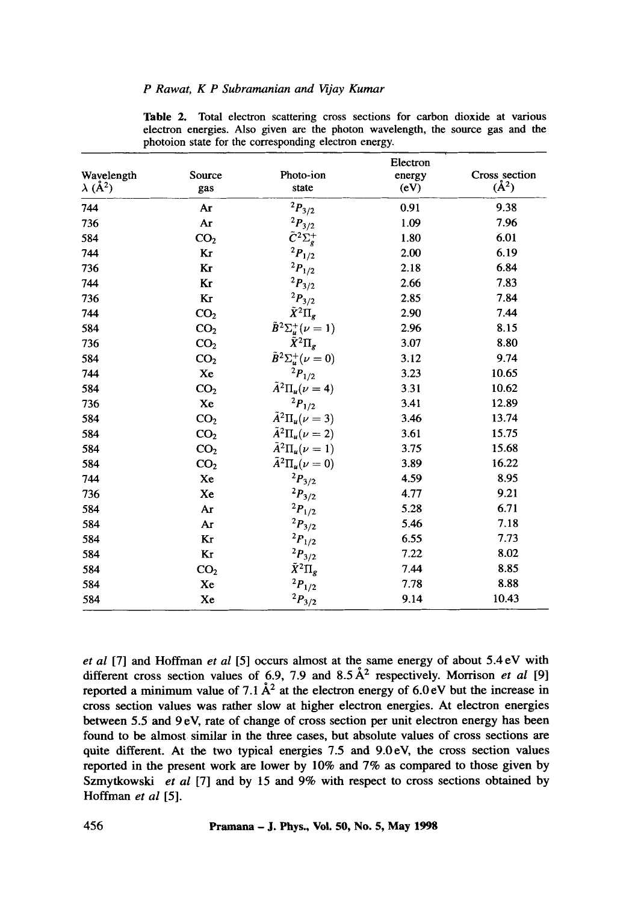|                             | Electron        |                                  |        |               |  |  |  |
|-----------------------------|-----------------|----------------------------------|--------|---------------|--|--|--|
| Wavelength                  | Source          | Photo-ion                        | energy | Cross section |  |  |  |
| $\lambda$ (Å <sup>2</sup> ) | gas             | state                            | (eV)   | $(\AA^2)$     |  |  |  |
| 744                         | Ar              | $^2P_{3/2}$                      | 0.91   | 9.38          |  |  |  |
| 736                         | Ar              | $^2P_{3/2}$                      | 1.09   | 7.96          |  |  |  |
| 584                         | CO <sub>2</sub> | $\tilde{C}^2\Sigma_g^+$          | 1.80   | 6.01          |  |  |  |
| 744                         | Kr              | $^{2}P_{1/2}$                    | 2.00   | 6.19          |  |  |  |
| 736                         | Kr              | $^2\!P_{1/2}$                    | 2.18   | 6.84          |  |  |  |
| 744                         | Kr              | $^{2}P_{3/2}$                    | 2.66   | 7.83          |  |  |  |
| 736                         | Kr              | $^{2}P_{3/2}$                    | 2.85   | 7.84          |  |  |  |
| 744                         | CO <sub>2</sub> | $\tilde{X}^2\Pi_g$               | 2.90   | 7.44          |  |  |  |
| 584                         | CO <sub>2</sub> | $\tilde{B}^2\Sigma^+_u(\nu=1)$   | 2.96   | 8.15          |  |  |  |
| 736                         | CO <sub>2</sub> | $\tilde{X}^2\Pi_{\epsilon}$      | 3.07   | 8.80          |  |  |  |
| 584                         | CO <sub>2</sub> | $\tilde{B}^2\Sigma^+_\mu(\nu=0)$ | 3.12   | 9.74          |  |  |  |
| 744                         | Xe              | $^{2}P_{1/2}$                    | 3.23   | 10.65         |  |  |  |
| 584                         | CO <sub>2</sub> | $\tilde{A}^2\Pi_u(\nu=4)$        | 3.31   | 10.62         |  |  |  |
| 736                         | Xe              | $^{2}P_{1/2}$                    | 3.41   | 12.89         |  |  |  |
| 584                         | CO <sub>2</sub> | $\tilde{A}^2\Pi_u(\nu=3)$        | 3.46   | 13.74         |  |  |  |
| 584                         | CO <sub>2</sub> | $\tilde{A}^2\Pi_u(\nu=2)$        | 3.61   | 15.75         |  |  |  |
| 584                         | CO <sub>2</sub> | $\tilde{A}^2\Pi_{\mu}(\nu=1)$    | 3.75   | 15.68         |  |  |  |
| 584                         | CO <sub>2</sub> | $\tilde{A}^2\Pi_u(\nu=0)$        | 3.89   | 16.22         |  |  |  |
| 744                         | Xe              | $^{2}P_{3/2}$                    | 4.59   | 8.95          |  |  |  |
| 736                         | Xe              | $^{2}P_{3/2}$                    | 4.77   | 9.21          |  |  |  |
| 584                         | Ar              | $^2\!P_{1/2}$                    | 5.28   | 6.71          |  |  |  |
| 584                         | Ar              | $^2P_{3/2}$                      | 5.46   | 7.18          |  |  |  |
| 584                         | Kr              | $^2\!P_{1/2}$                    | 6.55   | 7.73          |  |  |  |
| 584                         | Kr              | $^{2}P_{3/2}$                    | 7.22   | 8.02          |  |  |  |
| 584                         | CO <sub>2</sub> | $\tilde{X}^2\Pi_g$               | 7.44   | 8.85          |  |  |  |
| 584                         | Xe              | $^2\!P_{1/2}$                    | 7.78   | 8.88          |  |  |  |
| 584                         | Xe              | $^{2}P_{3/2}$                    | 9.14   | 10.43         |  |  |  |

Table 2. Total electron scattering cross sections for carbon dioxide at various electron energies. Mso given are the photon wavelength, the source gas and the photoion state for the corresponding electron energy.

*et al* [7] and Hoffman *et al* [5] occurs almost at the same energy of about 5.4 eV with different cross section values of 6.9, 7.9 and  $8.5 \text{ Å}^2$  respectively. Morrison *et al* [9] reported a minimum value of 7.1  $\AA^2$  at the electron energy of 6.0 eV but the increase in cross section values was rather slow at higher electron energies. At electron energies between 5.5 and 9 eV, rate of change of cross section per unit electron energy has been found to be almost similar in the three cases, but absolute values of cross sections are quite different. At the two typical energies 7.5 and 9.0eV, the cross section values reported in the present work are lower by 10% and 7% as compared to those given by Szmytkowski *et al* [7] and by 15 and 9% with respect to cross sections obtained by Hoffman *et al* [5].